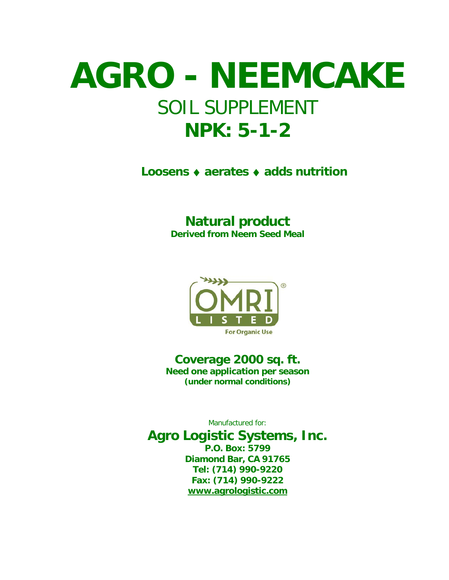## **AGRO - NEEMCAKE** SOIL SUPPLEMENT **NPK: 5-1-2**

**Loosens** ♦ **aerates** ♦ **adds nutrition**

## **Natural product**

**Derived from Neem Seed Meal**



**Coverage 2000 sq. ft. Need one application per season (under normal conditions)**

Manufactured for:

**Agro Logistic Systems, Inc. P.O. Box: 5799 Diamond Bar, CA 91765 Tel: (714) 990-9220 Fax: (714) 990-9222 [www.agrologistic.com](http://www.agrologistic.com/)**